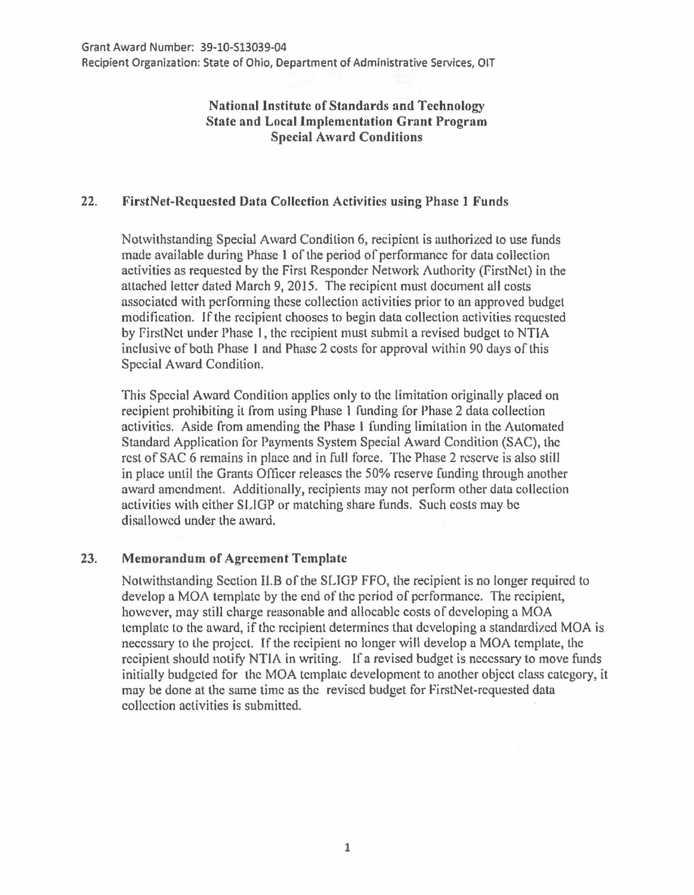## National Institute of Standards and Technology State and Local Implementation Grant Program Special Award Conditions

## 22. FirstNet-Rcqucsted Data Collection Activities using Phase 1 Funds

Notwithstanding Special Award Condition 6, recipient is authorized to use funds made available during Phase 1 of the period of performance for data collection activities as requested by the First Responder Network Authority (firstNet) in the attached letter dated March 9, 2015. The recipient must document all costs associated with performing these collection activities prior to an approved budget modification. If the recipient chooses to begin data collection activities requested by firstNet under Phase I, the recipient must submit a revised budget to NTIA inclusive of both Phase I and Phase 2 costs for approval within 90 days of this Special Award Condition.

This Special Award Condition applies only to the limitation originally placed on recipient prohibiting it from using Phase 1 funding for Phase 2 data collection activities. Aside from amending the Phase I funding limitation in the Automated Standard Application for Payments System Special Award Condition (SAC), the rest of SAC 6 remains in place and in full force. The Phase 2 reserve is also still in place until the Grants Ofticcr releases the 50% reserve funding through another award amendment. Additionally, recipients may not perform other data collection activities with either SLIGP or matching share funds. Such costs may be disallowed under the award.

## 23. Memorandum of Agreement Template

Notwithstanding Section Il.B of the SLIGP FFO, the recipient is no longer required to develop a MOA template by the end of the period of performance. The recipient, however, may still charge reasonable and allocable costs of developing a MOA template to the award, if the recipient determines that developing a standardized MOA is necessary to the project. If the recipient no longer will develop a MOA template, the recipient should notify NTIA in writing. If a revised budget is necessary to move funds initially budgeted for the MOA template development to another object class category, it may be done at the same time as the revised budget for FirstNet-requested data collection activities is submitted.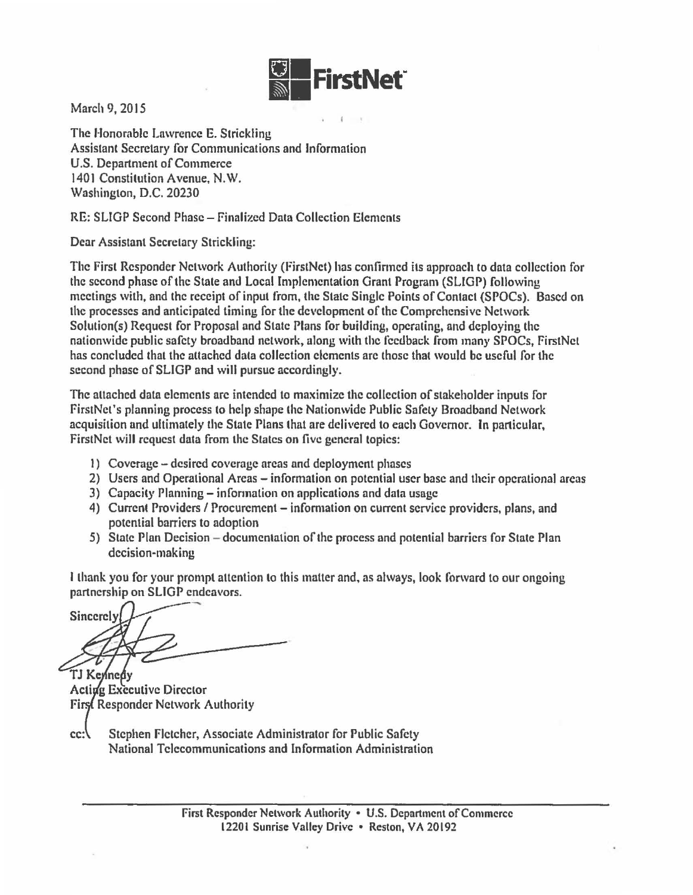

March 9, 2015

The Honorable Lawrence E. Strickling Assistant Secretary for Communications and Information U.S. Department of Commerce 1401 Constitution Avenue, N.W. Washington, D.C. 20230

RE: SLIGP Second Phase- Finalized Data Collection Elements

Dear Assistant Secretary Strickling:

The First Responder Network Authority (FirstNct) has confinncd its approach to data collection for the second phase of the State and Local Implementation Grant Program (SLIGP) following meetings with, and the receipt of input from, the State Single Points of Contact (SPOCs). Based on the processes and anticipated timing for the development of the Comprehensive Network Solution(s) Request for Proposal and State Plans for building, operating, and deploying the nationwide public safety broadband network, along with the feedback from many SPOCs, FirstNet has concluded that the attached data collection clements arc those that would be useful for the second phase of SLIGP and will pursue accordingly.

The attached data elements arc intended to maximize the collection of stakeholder inputs for f'irstNct's planning process to help shape the Nationwide Public Safety Broadband Network acquisition and ultimately the State Plans that are delivered to each Governor. In particular, FirstNet will request data from the States on five general topics:

- l) Coverage desired coverage areas and deployment phases
- 2) Users and Operational Areas information on potential user base and their operational areas
- 3) Capacity Planning- information on applications and data usage
- 4) Current Providers / Procurement information on current service providers, plans, and potential barriers to adoption
- 5) State Plan Decision documentation of the process and potential barriers for State Plan decision-making

I thank you for your prompt attention to this matter and, as always, look forward to our ongoing partnership on SLIGP endeavors.

Sincerely TJ Kennedy

**Acting Executive Director** First Responder Network Authority

 $cc:$ Stephen Fletcher, Associate Administrator for Public Safety National Telecommunications and Information Administration